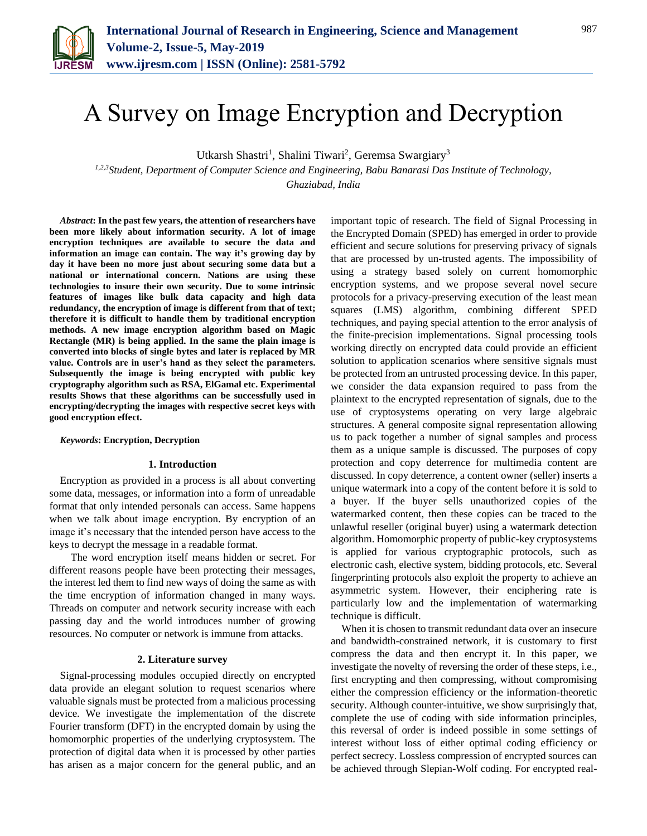

# A Survey on Image Encryption and Decryption

Utkarsh Shastri<sup>1</sup>, Shalini Tiwari<sup>2</sup>, Geremsa Swargiary<sup>3</sup>

*1,2,3Student, Department of Computer Science and Engineering, Babu Banarasi Das Institute of Technology, Ghaziabad, India*

*Abstract***: In the past few years, the attention of researchers have been more likely about information security. A lot of image encryption techniques are available to secure the data and information an image can contain. The way it's growing day by day it have been no more just about securing some data but a national or international concern. Nations are using these technologies to insure their own security. Due to some intrinsic features of images like bulk data capacity and high data redundancy, the encryption of image is different from that of text; therefore it is difficult to handle them by traditional encryption methods. A new image encryption algorithm based on Magic Rectangle (MR) is being applied. In the same the plain image is converted into blocks of single bytes and later is replaced by MR value. Controls are in user's hand as they select the parameters. Subsequently the image is being encrypted with public key cryptography algorithm such as RSA, ElGamal etc. Experimental results Shows that these algorithms can be successfully used in encrypting/decrypting the images with respective secret keys with good encryption effect.**

#### *Keywords***: Encryption, Decryption**

#### **1. Introduction**

Encryption as provided in a process is all about converting some data, messages, or information into a form of unreadable format that only intended personals can access. Same happens when we talk about image encryption. By encryption of an image it's necessary that the intended person have access to the keys to decrypt the message in a readable format.

The word encryption itself means hidden or secret. For different reasons people have been protecting their messages, the interest led them to find new ways of doing the same as with the time encryption of information changed in many ways. Threads on computer and network security increase with each passing day and the world introduces number of growing resources. No computer or network is immune from attacks.

#### **2. Literature survey**

Signal-processing modules occupied directly on encrypted data provide an elegant solution to request scenarios where valuable signals must be protected from a malicious processing device. We investigate the implementation of the discrete Fourier transform (DFT) in the encrypted domain by using the homomorphic properties of the underlying cryptosystem. The protection of digital data when it is processed by other parties has arisen as a major concern for the general public, and an

important topic of research. The field of Signal Processing in the Encrypted Domain (SPED) has emerged in order to provide efficient and secure solutions for preserving privacy of signals that are processed by un-trusted agents. The impossibility of using a strategy based solely on current homomorphic encryption systems, and we propose several novel secure protocols for a privacy-preserving execution of the least mean squares (LMS) algorithm, combining different SPED techniques, and paying special attention to the error analysis of the finite-precision implementations. Signal processing tools working directly on encrypted data could provide an efficient solution to application scenarios where sensitive signals must be protected from an untrusted processing device. In this paper, we consider the data expansion required to pass from the plaintext to the encrypted representation of signals, due to the use of cryptosystems operating on very large algebraic structures. A general composite signal representation allowing us to pack together a number of signal samples and process them as a unique sample is discussed. The purposes of copy protection and copy deterrence for multimedia content are discussed. In copy deterrence, a content owner (seller) inserts a unique watermark into a copy of the content before it is sold to a buyer. If the buyer sells unauthorized copies of the watermarked content, then these copies can be traced to the unlawful reseller (original buyer) using a watermark detection algorithm. Homomorphic property of public-key cryptosystems is applied for various cryptographic protocols, such as electronic cash, elective system, bidding protocols, etc. Several fingerprinting protocols also exploit the property to achieve an asymmetric system. However, their enciphering rate is particularly low and the implementation of watermarking technique is difficult.

When it is chosen to transmit redundant data over an insecure and bandwidth-constrained network, it is customary to first compress the data and then encrypt it. In this paper, we investigate the novelty of reversing the order of these steps, i.e., first encrypting and then compressing, without compromising either the compression efficiency or the information-theoretic security. Although counter-intuitive, we show surprisingly that, complete the use of coding with side information principles, this reversal of order is indeed possible in some settings of interest without loss of either optimal coding efficiency or perfect secrecy. Lossless compression of encrypted sources can be achieved through Slepian-Wolf coding. For encrypted real-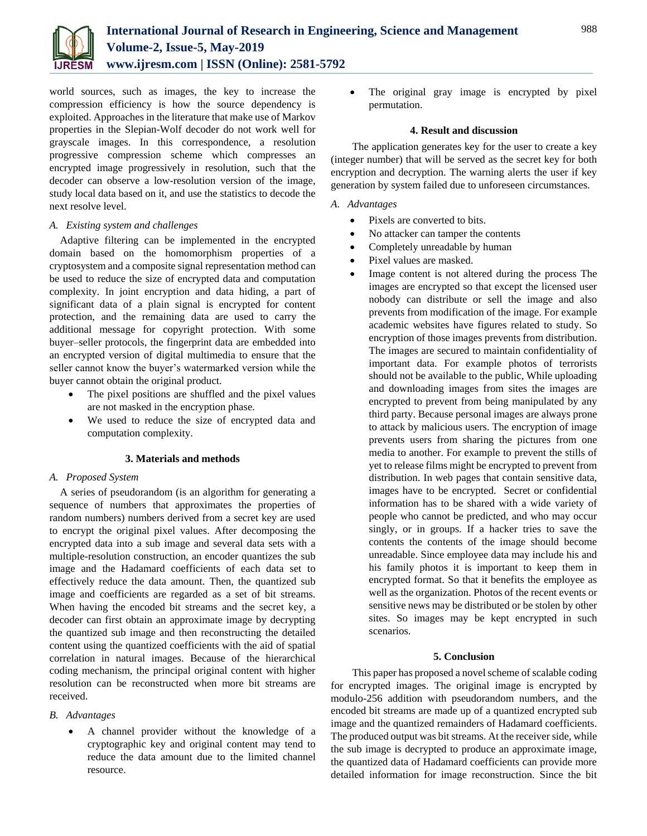

world sources, such as images, the key to increase the compression efficiency is how the source dependency is exploited. Approaches in the literature that make use of Markov properties in the Slepian-Wolf decoder do not work well for grayscale images. In this correspondence, a resolution progressive compression scheme which compresses an encrypted image progressively in resolution, such that the decoder can observe a low-resolution version of the image, study local data based on it, and use the statistics to decode the next resolve level.

## *A. Existing system and challenges*

Adaptive filtering can be implemented in the encrypted domain based on the homomorphism properties of a cryptosystem and a composite signal representation method can be used to reduce the size of encrypted data and computation complexity. In joint encryption and data hiding, a part of significant data of a plain signal is encrypted for content protection, and the remaining data are used to carry the additional message for copyright protection. With some buyer–seller protocols, the fingerprint data are embedded into an encrypted version of digital multimedia to ensure that the seller cannot know the buyer's watermarked version while the buyer cannot obtain the original product.

- The pixel positions are shuffled and the pixel values are not masked in the encryption phase.
- We used to reduce the size of encrypted data and computation complexity.

## **3. Materials and methods**

## *A. Proposed System*

A series of pseudorandom (is an algorithm for generating a sequence of numbers that approximates the properties of random numbers) numbers derived from a secret key are used to encrypt the original pixel values. After decomposing the encrypted data into a sub image and several data sets with a multiple-resolution construction, an encoder quantizes the sub image and the Hadamard coefficients of each data set to effectively reduce the data amount. Then, the quantized sub image and coefficients are regarded as a set of bit streams. When having the encoded bit streams and the secret key, a decoder can first obtain an approximate image by decrypting the quantized sub image and then reconstructing the detailed content using the quantized coefficients with the aid of spatial correlation in natural images. Because of the hierarchical coding mechanism, the principal original content with higher resolution can be reconstructed when more bit streams are received.

## *B. Advantages*

 A channel provider without the knowledge of a cryptographic key and original content may tend to reduce the data amount due to the limited channel resource.

 The original gray image is encrypted by pixel permutation.

#### **4. Result and discussion**

The application generates key for the user to create a key (integer number) that will be served as the secret key for both encryption and decryption. The warning alerts the user if key generation by system failed due to unforeseen circumstances.

### *A. Advantages*

- Pixels are converted to bits.
- No attacker can tamper the contents
- Completely unreadable by human
- Pixel values are masked.
- Image content is not altered during the process The images are encrypted so that except the licensed user nobody can distribute or sell the image and also prevents from modification of the image. For example academic websites have figures related to study. So encryption of those images prevents from distribution. The images are secured to maintain confidentiality of important data. For example photos of terrorists should not be available to the public, While uploading and downloading images from sites the images are encrypted to prevent from being manipulated by any third party. Because personal images are always prone to attack by malicious users. The encryption of image prevents users from sharing the pictures from one media to another. For example to prevent the stills of yet to release films might be encrypted to prevent from distribution. In web pages that contain sensitive data, images have to be encrypted. Secret or confidential information has to be shared with a wide variety of people who cannot be predicted, and who may occur singly, or in groups. If a hacker tries to save the contents the contents of the image should become unreadable. Since employee data may include his and his family photos it is important to keep them in encrypted format. So that it benefits the employee as well as the organization. Photos of the recent events or sensitive news may be distributed or be stolen by other sites. So images may be kept encrypted in such scenarios.

#### **5. Conclusion**

This paper has proposed a novel scheme of scalable coding for encrypted images. The original image is encrypted by modulo-256 addition with pseudorandom numbers, and the encoded bit streams are made up of a quantized encrypted sub image and the quantized remainders of Hadamard coefficients. The produced output was bit streams. At the receiver side, while the sub image is decrypted to produce an approximate image, the quantized data of Hadamard coefficients can provide more detailed information for image reconstruction. Since the bit